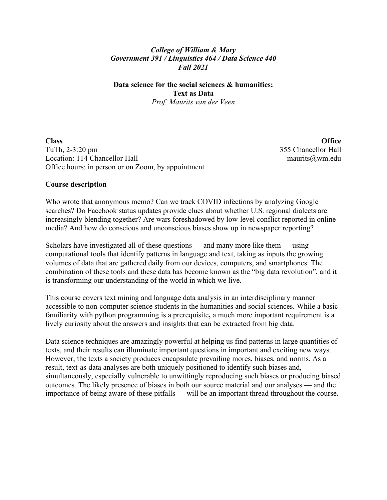### *College of William & Mary Government 391 / Linguistics 464 / Data Science 440 Fall 2021*

#### **Data science for the social sciences & humanities: Text as Data** *Prof. Maurits van der Veen*

**Class Office** TuTh, 2-3:20 pm 355 Chancellor Hall Location: 114 Chancellor Hall maurits@wm.edu Office hours: in person or on Zoom, by appointment

#### **Course description**

Who wrote that anonymous memo? Can we track COVID infections by analyzing Google searches? Do Facebook status updates provide clues about whether U.S. regional dialects are increasingly blending together? Are wars foreshadowed by low-level conflict reported in online media? And how do conscious and unconscious biases show up in newspaper reporting?

Scholars have investigated all of these questions — and many more like them — using computational tools that identify patterns in language and text, taking as inputs the growing volumes of data that are gathered daily from our devices, computers, and smartphones. The combination of these tools and these data has become known as the "big data revolution", and it is transforming our understanding of the world in which we live.

This course covers text mining and language data analysis in an interdisciplinary manner accessible to non-computer science students in the humanities and social sciences. While a basic familiarity with python programming is a prerequisite**,** a much more important requirement is a lively curiosity about the answers and insights that can be extracted from big data.

Data science techniques are amazingly powerful at helping us find patterns in large quantities of texts, and their results can illuminate important questions in important and exciting new ways. However, the texts a society produces encapsulate prevailing mores, biases, and norms. As a result, text-as-data analyses are both uniquely positioned to identify such biases and, simultaneously, especially vulnerable to unwittingly reproducing such biases or producing biased outcomes. The likely presence of biases in both our source material and our analyses — and the importance of being aware of these pitfalls — will be an important thread throughout the course.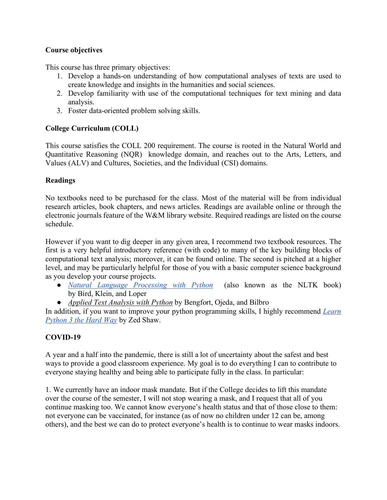# **Course objectives**

This course has three primary objectives:

- 1. Develop a hands-on understanding of how computational analyses of texts are used to create knowledge and insights in the humanities and social sciences.
- 2. Develop familiarity with use of the computational techniques for text mining and data analysis.
- 3. Foster data-oriented problem solving skills.

# **College Curriculum (COLL)**

This course satisfies the COLL 200 requirement. The course is rooted in the Natural World and Quantitative Reasoning (NQR) knowledge domain, and reaches out to the Arts, Letters, and Values (ALV) and Cultures, Societies, and the Individual (CSI) domains.

## **Readings**

No textbooks need to be purchased for the class. Most of the material will be from individual research articles, book chapters, and news articles. Readings are available online or through the electronic journals feature of the W&M library website. Required readings are listed on the course schedule.

However if you want to dig deeper in any given area, I recommend two textbook resources. The first is a very helpful introductory reference (with code) to many of the key building blocks of computational text analysis; moreover, it can be found online. The second is pitched at a higher level, and may be particularly helpful for those of you with a basic computer science background as you develop your course projects.

- *Natural Language Processing with Python* (also known as the NLTK book) by Bird, Klein, and Loper
- *Applied Text Analysis with Python* by Bengfort, Ojeda, and Bilbro

In addition, if you want to improve your python programming skills, I highly recommend *Learn Python 3 the Hard Way* by Zed Shaw.

# **COVID-19**

A year and a half into the pandemic, there is still a lot of uncertainty about the safest and best ways to provide a good classroom experience. My goal is to do everything I can to contribute to everyone staying healthy and being able to participate fully in the class. In particular:

1. We currently have an indoor mask mandate. But if the College decides to lift this mandate over the course of the semester, I will not stop wearing a mask, and I request that all of you continue masking too. We cannot know everyone's health status and that of those close to them: not everyone can be vaccinated, for instance (as of now no children under 12 can be, among others), and the best we can do to protect everyone's health is to continue to wear masks indoors.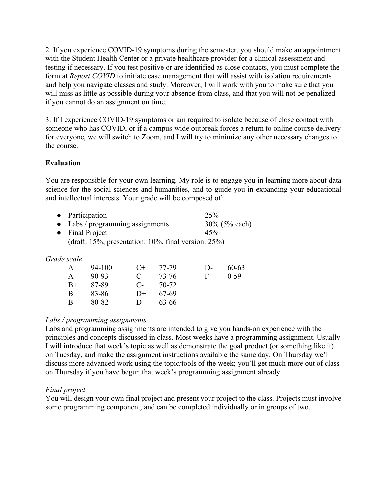2. If you experience COVID-19 symptoms during the semester, you should make an appointment with the Student Health Center or a private healthcare provider for a clinical assessment and testing if necessary. If you test positive or are identified as close contacts, you must complete the form at *Report COVID* to initiate case management that will assist with isolation requirements and help you navigate classes and study. Moreover, I will work with you to make sure that you will miss as little as possible during your absence from class, and that you will not be penalized if you cannot do an assignment on time.

3. If I experience COVID-19 symptoms or am required to isolate because of close contact with someone who has COVID, or if a campus-wide outbreak forces a return to online course delivery for everyone, we will switch to Zoom, and I will try to minimize any other necessary changes to the course.

# **Evaluation**

You are responsible for your own learning. My role is to engage you in learning more about data science for the social sciences and humanities, and to guide you in expanding your educational and intellectual interests. Your grade will be composed of:

| • Participation                                                 | 25%              |  |  |
|-----------------------------------------------------------------|------------------|--|--|
| $\bullet$ Labs / programming assignments                        | $30\%$ (5% each) |  |  |
| • Final Project                                                 | 45%              |  |  |
| (draft: $15\%$ ; presentation: $10\%$ , final version: $25\%$ ) |                  |  |  |

## *Grade scale*

| A     | 94-100  | $C_{\pm}$   | 77-79 | $\mathsf{D}$ | $60 - 63$ |
|-------|---------|-------------|-------|--------------|-----------|
| $A -$ | $90-93$ | $\mathbf C$ | 73-76 | н            | $0-59$    |
| $B+$  | 87-89   | C-          | 70-72 |              |           |
| В     | 83-86   | $D+$        | 67-69 |              |           |
| B-    | 80-82   | Ð           | 63-66 |              |           |

## *Labs / programming assignments*

Labs and programming assignments are intended to give you hands-on experience with the principles and concepts discussed in class. Most weeks have a programming assignment. Usually I will introduce that week's topic as well as demonstrate the goal product (or something like it) on Tuesday, and make the assignment instructions available the same day. On Thursday we'll discuss more advanced work using the topic/tools of the week; you'll get much more out of class on Thursday if you have begun that week's programming assignment already.

## *Final project*

You will design your own final project and present your project to the class. Projects must involve some programming component, and can be completed individually or in groups of two.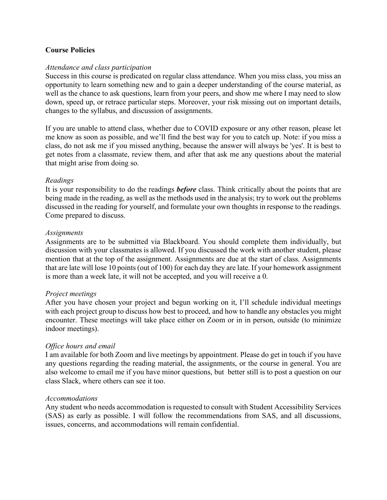#### **Course Policies**

#### *Attendance and class participation*

Success in this course is predicated on regular class attendance. When you miss class, you miss an opportunity to learn something new and to gain a deeper understanding of the course material, as well as the chance to ask questions, learn from your peers, and show me where I may need to slow down, speed up, or retrace particular steps. Moreover, your risk missing out on important details, changes to the syllabus, and discussion of assignments.

If you are unable to attend class, whether due to COVID exposure or any other reason, please let me know as soon as possible, and we'll find the best way for you to catch up. Note: if you miss a class, do not ask me if you missed anything, because the answer will always be 'yes'. It is best to get notes from a classmate, review them, and after that ask me any questions about the material that might arise from doing so.

#### *Readings*

It is your responsibility to do the readings *before* class. Think critically about the points that are being made in the reading, as well as the methods used in the analysis; try to work out the problems discussed in the reading for yourself, and formulate your own thoughts in response to the readings. Come prepared to discuss.

#### *Assignments*

Assignments are to be submitted via Blackboard. You should complete them individually, but discussion with your classmates is allowed. If you discussed the work with another student, please mention that at the top of the assignment. Assignments are due at the start of class. Assignments that are late will lose 10 points (out of 100) for each day they are late. If your homework assignment is more than a week late, it will not be accepted, and you will receive a 0.

#### *Project meetings*

After you have chosen your project and begun working on it, I'll schedule individual meetings with each project group to discuss how best to proceed, and how to handle any obstacles you might encounter. These meetings will take place either on Zoom or in in person, outside (to minimize indoor meetings).

#### *Office hours and email*

I am available for both Zoom and live meetings by appointment. Please do get in touch if you have any questions regarding the reading material, the assignments, or the course in general. You are also welcome to email me if you have minor questions, but better still is to post a question on our class Slack, where others can see it too.

#### *Accommodations*

Any student who needs accommodation is requested to consult with Student Accessibility Services (SAS) as early as possible. I will follow the recommendations from SAS, and all discussions, issues, concerns, and accommodations will remain confidential.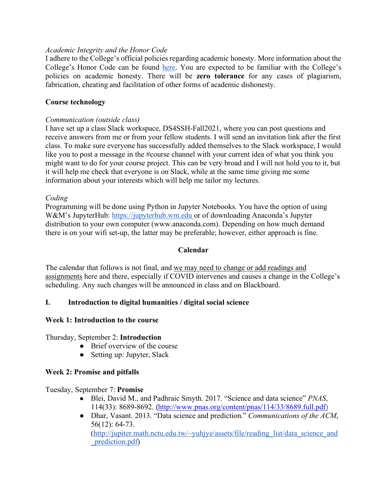### *Academic Integrity and the Honor Code*

I adhere to the College's official policies regarding academic honesty. More information about the College's Honor Code can be found here. You are expected to be familiar with the College's policies on academic honesty. There will be **zero tolerance** for any cases of plagiarism, fabrication, cheating and facilitation of other forms of academic dishonesty.

### **Course technology**

#### *Communication (outside class)*

I have set up a class Slack workspace, DS4SSH-Fall2021, where you can post questions and receive answers from me or from your fellow students. I will send an invitation link after the first class. To make sure everyone has successfully added themselves to the Slack workspace, I would like you to post a message in the #course channel with your current idea of what you think you might want to do for your course project. This can be very broad and I will not hold you to it, but it will help me check that everyone is on Slack, while at the same time giving me some information about your interests which will help me tailor my lectures.

#### *Coding*

Programming will be done using Python in Jupyter Notebooks. You have the option of using W&M's JupyterHub: https://jupyterhub.wm.edu or of downloading Anaconda's Jupyter distribution to your own computer (www.anaconda.com). Depending on how much demand there is on your wifi set-up, the latter may be preferable; however, either approach is fine.

#### **Calendar**

The calendar that follows is not final, and we may need to change or add readings and assignments here and there, especially if COVID intervenes and causes a change in the College's scheduling. Any such changes will be announced in class and on Blackboard.

## **I. Introduction to digital humanities / digital social science**

#### **Week 1: Introduction to the course**

Thursday, September 2: **Introduction**

- Brief overview of the course
- Setting up: Jupyter, Slack

## **Week 2: Promise and pitfalls**

Tuesday, September 7: **Promise**

- Blei, David M., and Padhraic Smyth. 2017. "Science and data science" *PNAS*, 114(33): 8689-8692. (http://www.pnas.org/content/pnas/114/33/8689.full.pdf)
- Dhar, Vasant. 2013. "Data science and prediction." *Communications of the ACM*, 56(12): 64-73. (http://jupiter.math.nctu.edu.tw/~yuhjye/assets/file/reading\_list/data\_science\_and \_prediction.pdf)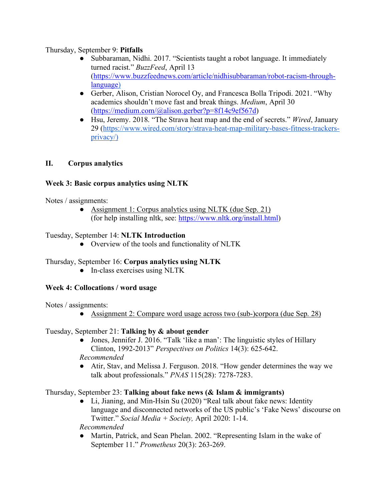## Thursday, September 9: **Pitfalls**

- Subbaraman, Nidhi. 2017. "Scientists taught a robot language. It immediately turned racist." *BuzzFeed*, April 13 (https://www.buzzfeednews.com/article/nidhisubbaraman/robot-racism-throughlanguage)
- Gerber, Alison, Cristian Norocel Oy, and Francesca Bolla Tripodi. 2021. "Why academics shouldn't move fast and break things. *Medium*, April 30 (https://medium.com/@alison.gerber?p=8f14c9ef567d)
- Hsu, Jeremy. 2018. "The Strava heat map and the end of secrets." *Wired*, January 29 (https://www.wired.com/story/strava-heat-map-military-bases-fitness-trackersprivacy/)

# **II. Corpus analytics**

# **Week 3: Basic corpus analytics using NLTK**

Notes / assignments:

• Assignment 1: Corpus analytics using NLTK (due Sep. 21) (for help installing nltk, see: https://www.nltk.org/install.html)

#### Tuesday, September 14: **NLTK Introduction**

• Overview of the tools and functionality of NLTK

## Thursday, September 16: **Corpus analytics using NLTK**

● In-class exercises using NLTK

## **Week 4: Collocations / word usage**

Notes / assignments:

• Assignment 2: Compare word usage across two (sub-)corpora (due Sep. 28)

## Tuesday, September 21: **Talking by & about gender**

- Jones, Jennifer J. 2016. "Talk 'like a man': The linguistic styles of Hillary Clinton, 1992-2013" *Perspectives on Politics* 14(3): 625-642. *Recommended*
- Atir, Stav, and Melissa J. Ferguson. 2018. "How gender determines the way we talk about professionals." *PNAS* 115(28): 7278-7283.

## Thursday, September 23: **Talking about fake news (& Islam & immigrants)**

● Li, Jianing, and Min-Hsin Su (2020) "Real talk about fake news: Identity language and disconnected networks of the US public's 'Fake News' discourse on Twitter." *Social Media + Society,* April 2020: 1-14.

*Recommended*

• Martin, Patrick, and Sean Phelan. 2002. "Representing Islam in the wake of September 11." *Prometheus* 20(3): 263-269.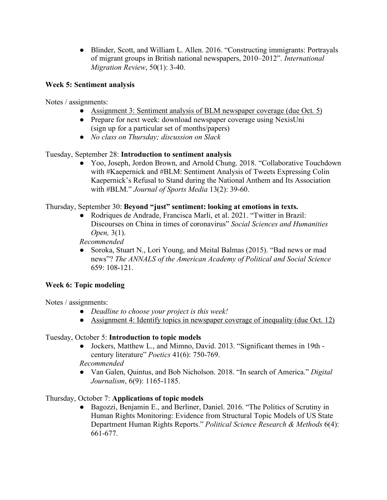● Blinder, Scott, and William L. Allen. 2016. "Constructing immigrants: Portrayals of migrant groups in British national newspapers, 2010–2012". *International Migration Review*, 50(1): 3-40.

# **Week 5: Sentiment analysis**

Notes / assignments:

- Assignment 3: Sentiment analysis of BLM newspaper coverage (due Oct. 5)
- Prepare for next week: download newspaper coverage using NexisUni (sign up for a particular set of months/papers)
- *No class on Thursday; discussion on Slack*

# Tuesday, September 28: **Introduction to sentiment analysis**

● Yoo, Joseph, Jordon Brown, and Arnold Chung. 2018. "Collaborative Touchdown with #Kaepernick and #BLM: Sentiment Analysis of Tweets Expressing Colin Kaepernick's Refusal to Stand during the National Anthem and Its Association with #BLM." *Journal of Sports Media* 13(2): 39-60.

# Thursday, September 30: **Beyond "just" sentiment: looking at emotions in texts.**

● Rodriques de Andrade, Francisca Marli, et al. 2021. "Twitter in Brazil: Discourses on China in times of coronavirus" *Social Sciences and Humanities Open,* 3(1).

*Recommended*

• Soroka, Stuart N., Lori Young, and Meital Balmas (2015). "Bad news or mad news"? *The ANNALS of the American Academy of Political and Social Science* 659: 108-121.

# **Week 6: Topic modeling**

Notes / assignments:

- *Deadline to choose your project is this week!*
- Assignment 4: Identify topics in newspaper coverage of inequality (due Oct. 12)

## Tuesday, October 5: **Introduction to topic models**

● Jockers, Matthew L., and Mimno, David. 2013. "Significant themes in 19th century literature" *Poetics* 41(6): 750-769.

*Recommended*

● Van Galen, Quintus, and Bob Nicholson. 2018. "In search of America." *Digital Journalism*, 6(9): 1165-1185.

# Thursday, October 7: **Applications of topic models**

● Bagozzi, Benjamin E., and Berliner, Daniel. 2016. "The Politics of Scrutiny in Human Rights Monitoring: Evidence from Structural Topic Models of US State Department Human Rights Reports." *Political Science Research & Methods* 6(4): 661-677.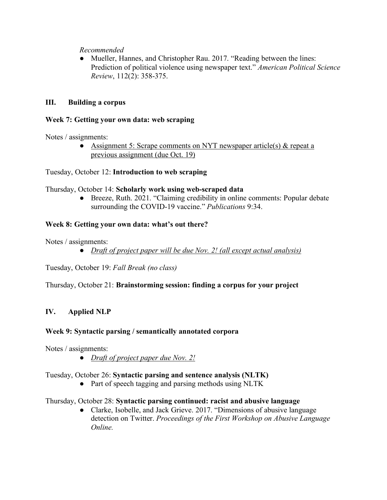*Recommended*

• Mueller, Hannes, and Christopher Rau. 2017. "Reading between the lines: Prediction of political violence using newspaper text." *American Political Science Review*, 112(2): 358-375.

# **III. Building a corpus**

## **Week 7: Getting your own data: web scraping**

Notes / assignments:

• Assignment 5: Scrape comments on NYT newspaper article(s) & repeat a previous assignment (due Oct. 19)

Tuesday, October 12: **Introduction to web scraping**

#### Thursday, October 14: **Scholarly work using web-scraped data**

● Breeze, Ruth. 2021. "Claiming credibility in online comments: Popular debate surrounding the COVID-19 vaccine." *Publications* 9:34.

## **Week 8: Getting your own data: what's out there?**

Notes / assignments:

● *Draft of project paper will be due Nov. 2! (all except actual analysis)*

Tuesday, October 19: *Fall Break (no class)*

Thursday, October 21: **Brainstorming session: finding a corpus for your project**

## **IV. Applied NLP**

## **Week 9: Syntactic parsing / semantically annotated corpora**

Notes / assignments:

● *Draft of project paper due Nov. 2!*

## Tuesday, October 26: **Syntactic parsing and sentence analysis (NLTK)**

• Part of speech tagging and parsing methods using NLTK

## Thursday, October 28: **Syntactic parsing continued: racist and abusive language**

● Clarke, Isobelle, and Jack Grieve. 2017. "Dimensions of abusive language detection on Twitter. *Proceedings of the First Workshop on Abusive Language Online.*